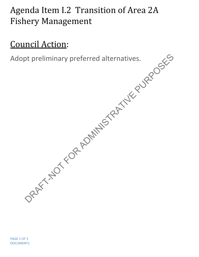## Agenda Item I.2 Transition of Area 2A Fishery Management

## Council Action:

Adopt preliminary preferred alternatives.

PAGE 1 OF 2 DOCUMENT1